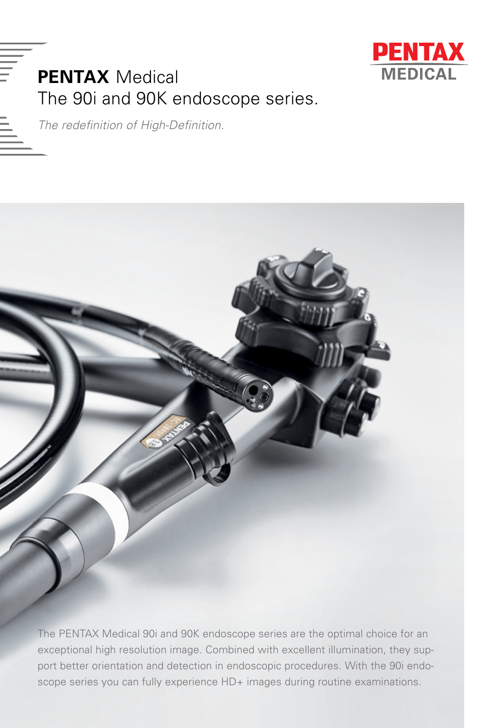

## **PENTAX** Medical The 90i and 90K endoscope series.

*The redefinition of High-Definition.*



The PENTAX Medical 90i and 90K endoscope series are the optimal choice for an exceptional high resolution image. Combined with excellent illumination, they support better orientation and detection in endoscopic procedures. With the 90i endoscope series you can fully experience HD+ images during routine examinations.